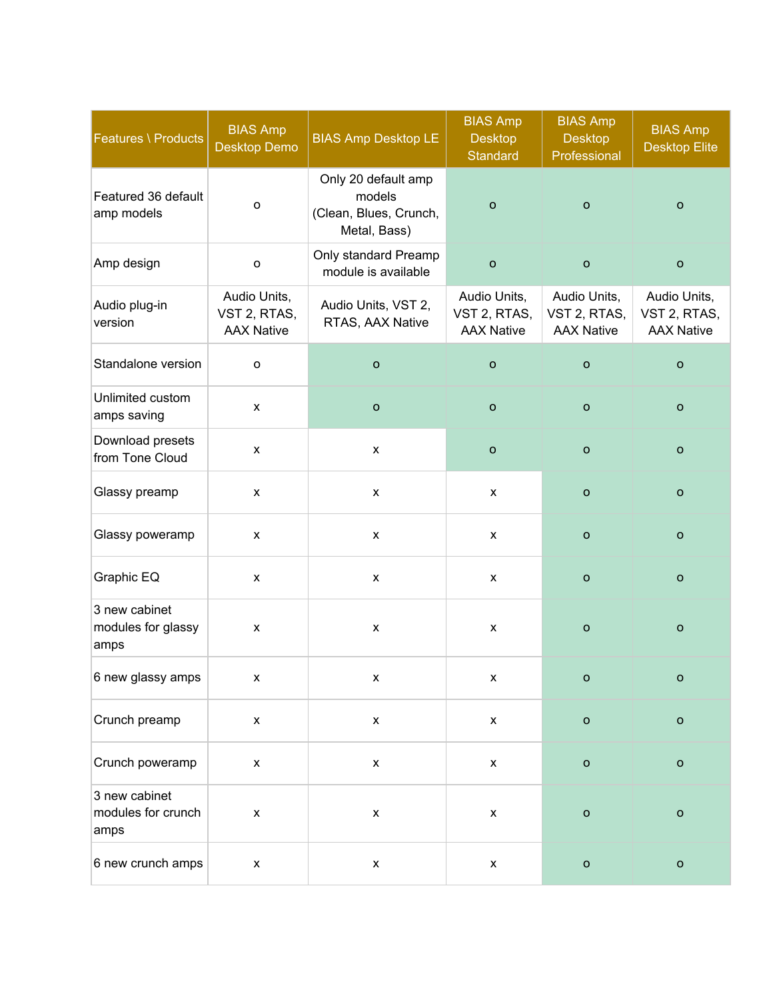| Features \ Products                         | <b>BIAS Amp</b><br>Desktop Demo                   | <b>BIAS Amp Desktop LE</b>                                              | <b>BIAS Amp</b><br><b>Desktop</b><br><b>Standard</b> | <b>BIAS Amp</b><br><b>Desktop</b><br>Professional | <b>BIAS Amp</b><br><b>Desktop Elite</b>           |
|---------------------------------------------|---------------------------------------------------|-------------------------------------------------------------------------|------------------------------------------------------|---------------------------------------------------|---------------------------------------------------|
| Featured 36 default<br>amp models           | $\mathsf{o}$                                      | Only 20 default amp<br>models<br>(Clean, Blues, Crunch,<br>Metal, Bass) | $\mathsf{o}$                                         | $\circ$                                           | $\mathsf{o}$                                      |
| Amp design                                  | $\mathsf{o}$                                      | Only standard Preamp<br>module is available                             | $\mathsf{o}$                                         | $\circ$                                           | $\mathsf{o}$                                      |
| Audio plug-in<br>version                    | Audio Units,<br>VST 2, RTAS,<br><b>AAX Native</b> | Audio Units, VST 2,<br>RTAS, AAX Native                                 | Audio Units,<br>VST 2, RTAS,<br><b>AAX Native</b>    | Audio Units,<br>VST 2, RTAS,<br><b>AAX Native</b> | Audio Units,<br>VST 2, RTAS,<br><b>AAX Native</b> |
| Standalone version                          | $\mathsf{o}$                                      | $\mathsf{o}$                                                            | $\mathsf O$                                          | $\mathbf O$                                       | $\mathsf O$                                       |
| Unlimited custom<br>amps saving             | $\pmb{\mathsf{X}}$                                | $\mathsf{o}$                                                            | $\mathsf{o}$                                         | $\mathbf O$                                       | $\circ$                                           |
| Download presets<br>from Tone Cloud         | X                                                 | $\pmb{\mathsf{X}}$                                                      | $\mathbf O$                                          | $\circ$                                           | $\circ$                                           |
| Glassy preamp                               | $\pmb{\mathsf{x}}$                                | $\pmb{\mathsf{x}}$                                                      | $\pmb{\mathsf{X}}$                                   | $\mathsf{o}$                                      | $\circ$                                           |
| Glassy poweramp                             | X                                                 | $\pmb{\mathsf{X}}$                                                      | X                                                    | $\circ$                                           | $\circ$                                           |
| Graphic EQ                                  | $\pmb{\mathsf{x}}$                                | $\pmb{\mathsf{x}}$                                                      | X                                                    | $\mathsf{o}$                                      | $\circ$                                           |
| 3 new cabinet<br>modules for glassy<br>amps | X                                                 | $\pmb{\mathsf{X}}$                                                      | $\pmb{\mathsf{x}}$                                   | $\mathbf{o}$                                      | $\circ$                                           |
| 6 new glassy amps                           | x                                                 | X.                                                                      | x                                                    | o                                                 | o                                                 |
| Crunch preamp                               | $\pmb{\mathsf{x}}$                                | $\pmb{\mathsf{x}}$                                                      | $\pmb{\mathsf{x}}$                                   | $\mathsf{o}$                                      | $\mathsf{o}$                                      |
| Crunch poweramp                             | $\pmb{\mathsf{x}}$                                | $\pmb{\mathsf{x}}$                                                      | $\pmb{\mathsf{x}}$                                   | $\mathsf{o}$                                      | $\mathbf O$                                       |
| 3 new cabinet<br>modules for crunch<br>amps | $\pmb{\mathsf{X}}$                                | $\pmb{\mathsf{x}}$                                                      | $\pmb{\mathsf{x}}$                                   | $\mathsf{o}$                                      | $\mathbf O$                                       |
| 6 new crunch amps                           | $\pmb{\mathsf{X}}$                                | $\pmb{\mathsf{x}}$                                                      | $\pmb{\mathsf{X}}$                                   | $\mathsf{o}$                                      | $\mathsf{o}$                                      |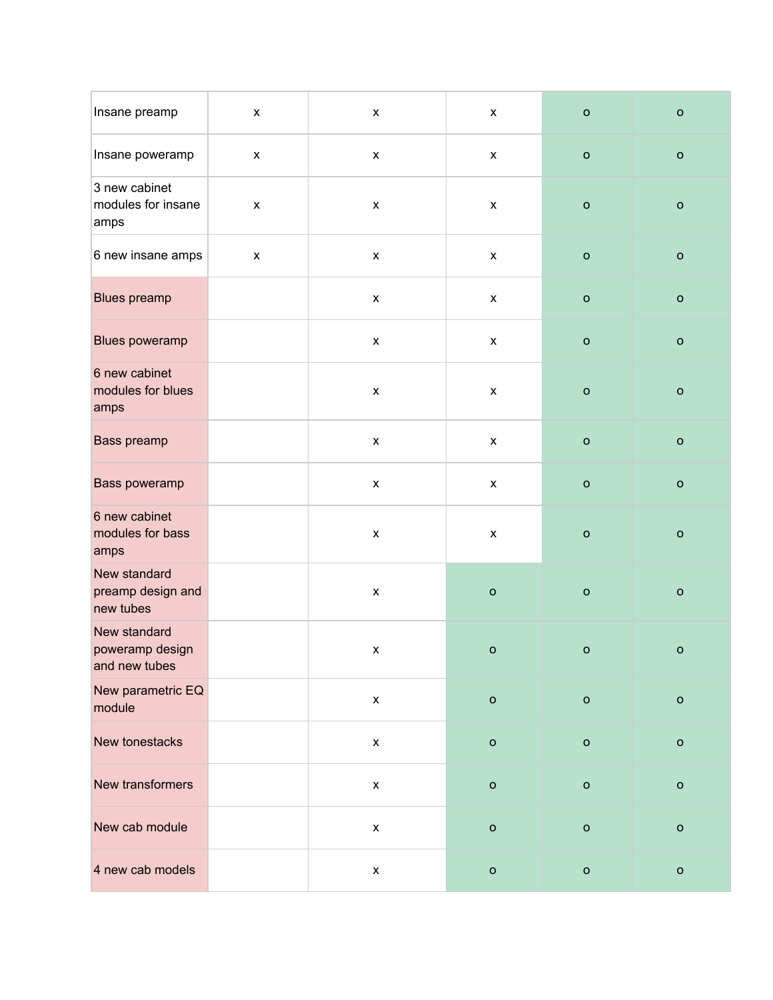| Insane preamp                                    | $\pmb{\mathsf{X}}$ | $\pmb{\mathsf{x}}$ | $\pmb{\mathsf{X}}$ | $\mathsf{o}$ | $\mathsf{o}$ |
|--------------------------------------------------|--------------------|--------------------|--------------------|--------------|--------------|
| Insane poweramp                                  | $\pmb{\mathsf{x}}$ | $\pmb{\mathsf{x}}$ | $\pmb{\mathsf{X}}$ | $\mathsf{o}$ | $\mathsf{o}$ |
| 3 new cabinet<br>modules for insane<br>amps      | $\pmb{\mathsf{X}}$ | $\pmb{\mathsf{x}}$ | $\pmb{\mathsf{x}}$ | $\mathsf{o}$ | $\mathbf{o}$ |
| 6 new insane amps                                | X                  | $\pmb{\mathsf{X}}$ | $\pmb{\mathsf{x}}$ | $\mathsf{o}$ | $\mathsf{o}$ |
| <b>Blues preamp</b>                              |                    | $\pmb{\mathsf{x}}$ | $\pmb{\mathsf{X}}$ | $\mathsf{o}$ | $\mathsf{o}$ |
| Blues poweramp                                   |                    | $\pmb{\mathsf{x}}$ | $\pmb{\mathsf{X}}$ | $\mathsf{o}$ | $\mathsf{o}$ |
| 6 new cabinet<br>modules for blues<br>amps       |                    | $\pmb{\mathsf{x}}$ | $\pmb{\mathsf{X}}$ | $\mathsf{o}$ | $\mathsf{o}$ |
| Bass preamp                                      |                    | $\pmb{\mathsf{x}}$ | $\pmb{\mathsf{X}}$ | $\mathsf{o}$ | $\mathsf O$  |
| Bass poweramp                                    |                    | $\pmb{\mathsf{x}}$ | $\pmb{\mathsf{X}}$ | $\mathsf{o}$ | $\mathsf{o}$ |
| 6 new cabinet<br>modules for bass<br>amps        |                    | $\pmb{\mathsf{x}}$ | $\pmb{\mathsf{X}}$ | $\mathsf{o}$ | $\mathsf{o}$ |
| New standard<br>preamp design and<br>new tubes   |                    | $\pmb{\mathsf{x}}$ | $\mathsf{o}$       | $\mathsf{o}$ | $\mathsf{o}$ |
| New standard<br>poweramp design<br>and new tubes |                    | $\pmb{\mathsf{X}}$ | $\mathsf{o}$       | $\mathsf{o}$ | $\mathsf{o}$ |
| New parametric EQ<br>module                      |                    | $\pmb{\mathsf{x}}$ | $\mathbf{o}$       | $\mathsf{o}$ | $\mathsf{o}$ |
| New tonestacks                                   |                    | $\pmb{\mathsf{x}}$ | $\mathsf{o}$       | $\mathsf{o}$ | $\mathsf{o}$ |
| New transformers                                 |                    | $\pmb{\mathsf{x}}$ | $\mathsf{o}$       | $\mathsf{o}$ | $\mathsf{o}$ |
| New cab module                                   |                    | $\pmb{\mathsf{x}}$ | $\mathsf{o}$       | $\mathsf{o}$ | $\mathsf{o}$ |
| 4 new cab models                                 |                    | $\pmb{\mathsf{X}}$ | $\mathsf{o}$       | $\mathsf{o}$ | $\mathsf{o}$ |